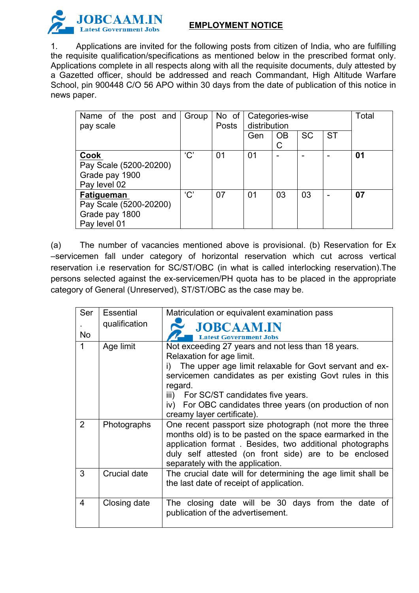

## **EMPLOYMENT NOTICE**

1. Applications are invited for the following posts from citizen of India, who are fulfilling the requisite qualification/specifications as mentioned below in the prescribed format only. Applications complete in all respects along with all the requisite documents, duly attested by a Gazetted officer, should be addressed and reach Commandant, High Altitude Warfare School, pin 900448 C/O 56 APO within 30 days from the date of publication of this notice in news paper.

| Name of the post and<br>pay scale                                             | Group | $No$ of<br>Posts | Categories-wise<br>distribution |                |           |           | Total |  |
|-------------------------------------------------------------------------------|-------|------------------|---------------------------------|----------------|-----------|-----------|-------|--|
|                                                                               |       |                  | Gen                             | <b>OB</b><br>C | <b>SC</b> | <b>ST</b> |       |  |
| Cook<br>Pay Scale (5200-20200)<br>Grade pay 1900<br>Pay level 02              | 'C'   | 01               | 0 <sub>1</sub>                  |                | -         |           | 01    |  |
| <b>Fatigueman</b><br>Pay Scale (5200-20200)<br>Grade pay 1800<br>Pay level 01 | 'C'   | 07               | 0 <sub>1</sub>                  | 03             | 03        |           | 07    |  |

(a) The number of vacancies mentioned above is provisional. (b) Reservation for Ex –servicemen fall under category of horizontal reservation which cut across vertical reservation i.e reservation for SC/ST/OBC (in what is called interlocking reservation).The persons selected against the ex-servicemen/PH quota has to be placed in the appropriate category of General (Unreserved), ST/ST/OBC as the case may be.

| Ser            | Essential     | Matriculation or equivalent examination pass                                                                                                                                                                                                                                                                                |
|----------------|---------------|-----------------------------------------------------------------------------------------------------------------------------------------------------------------------------------------------------------------------------------------------------------------------------------------------------------------------------|
|                | qualification | <b>JOBCAAM.IN</b>                                                                                                                                                                                                                                                                                                           |
| No             |               | <b>Latest Government Jobs</b>                                                                                                                                                                                                                                                                                               |
| 1              | Age limit     | Not exceeding 27 years and not less than 18 years.<br>Relaxation for age limit.<br>The upper age limit relaxable for Govt servant and ex-<br>i)<br>servicemen candidates as per existing Govt rules in this<br>regard.<br>iii) For SC/ST candidates five years.<br>iv) For OBC candidates three years (on production of non |
|                |               | creamy layer certificate).                                                                                                                                                                                                                                                                                                  |
| 2              | Photographs   | One recent passport size photograph (not more the three<br>months old) is to be pasted on the space earmarked in the<br>application format. Besides, two additional photographs<br>duly self attested (on front side) are to be enclosed<br>separately with the application.                                                |
| 3              | Crucial date  | The crucial date will for determining the age limit shall be<br>the last date of receipt of application.                                                                                                                                                                                                                    |
| $\overline{4}$ | Closing date  | The closing date will be 30 days from the date of<br>publication of the advertisement.                                                                                                                                                                                                                                      |
|                |               |                                                                                                                                                                                                                                                                                                                             |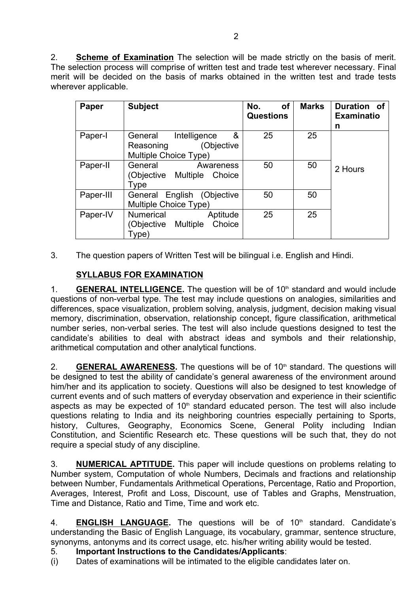2. **Scheme of Examination** The selection will be made strictly on the basis of merit. The selection process will comprise of written test and trade test wherever necessary. Final merit will be decided on the basis of marks obtained in the written test and trade tests wherever applicable.

| Paper     | <b>Subject</b>                                                                   | No.<br><b>of</b><br><b>Questions</b> | <b>Marks</b> | Duration of<br><b>Examinatio</b><br>n |
|-----------|----------------------------------------------------------------------------------|--------------------------------------|--------------|---------------------------------------|
| Paper-I   | &<br>Intelligence<br>General<br>(Objective<br>Reasoning<br>Multiple Choice Type) | 25                                   | 25           | 2 Hours                               |
| Paper-II  | General<br>Awareness<br>(Objective Multiple<br>Choice<br><b>Type</b>             | 50                                   | 50           |                                       |
| Paper-III | General English (Objective<br>Multiple Choice Type)                              | 50                                   | 50           |                                       |
| Paper-IV  | Aptitude<br>Numerical<br>(Objective Multiple<br>Choice<br>Type)                  | 25                                   | 25           |                                       |

3. The question papers of Written Test will be bilingual i.e. English and Hindi.

## **SYLLABUS FOR EXAMINATION**

1. **GENERAL INTELLIGENCE.** The question will be of 10th standard and would include questions of non-verbal type. The test may include questions on analogies, similarities and differences, space visualization, problem solving, analysis, judgment, decision making visual memory, discrimination, observation, relationship concept, figure classification, arithmetical number series, non-verbal series. The test will also include questions designed to test the candidate's abilities to deal with abstract ideas and symbols and their relationship, arithmetical computation and other analytical functions.

2. **GENERAL AWARENESS.** The questions will be of 10<sup>th</sup> standard. The questions will be designed to test the ability of candidate's general awareness of the environment around him/her and its application to society. Questions will also be designed to test knowledge of current events and of such matters of everyday observation and experience in their scientific aspects as may be expected of  $10<sup>th</sup>$  standard educated person. The test will also include questions relating to India and its neighboring countries especially pertaining to Sports, history, Cultures, Geography, Economics Scene, General Polity including Indian Constitution, and Scientific Research etc. These questions will be such that, they do not require a special study of any discipline.

3. **NUMERICAL APTITUDE.** This paper will include questions on problems relating to Number system, Computation of whole Numbers, Decimals and fractions and relationship between Number, Fundamentals Arithmetical Operations, Percentage, Ratio and Proportion, Averages, Interest, Profit and Loss, Discount, use of Tables and Graphs, Menstruation, Time and Distance, Ratio and Time, Time and work etc.

4. **ENGLISH LANGUAGE.** The questions will be of 10<sup>th</sup> standard. Candidate's understanding the Basic of English Language, its vocabulary, grammar, sentence structure, synonyms, antonyms and its correct usage, etc. his/her writing ability would be tested.

## 5. **Important Instructions to the Candidates/Applicants**:

(i) Dates of examinations will be intimated to the eligible candidates later on.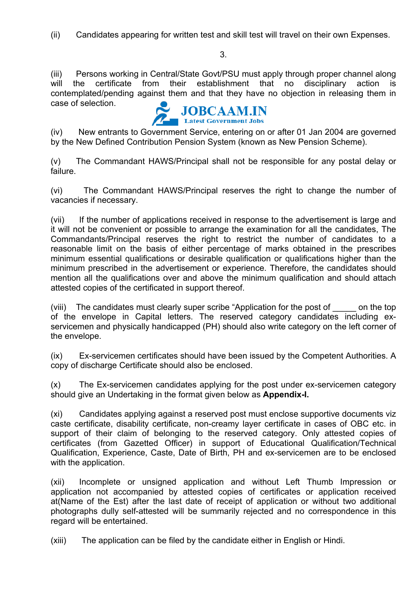(ii) Candidates appearing for written test and skill test will travel on their own Expenses.

3.

(iii) Persons working in Central/State Govt/PSU must apply through proper channel along will the certificate from their establishment that no disciplinary action is contemplated/pending against them and that they have no objection in releasing them in case of selection.



(iv) New entrants to Government Service, entering on or after 01 Jan 2004 are governed by the New Defined Contribution Pension System (known as New Pension Scheme).

(v) The Commandant HAWS/Principal shall not be responsible for any postal delay or failure.

(vi) The Commandant HAWS/Principal reserves the right to change the number of vacancies if necessary.

(vii) If the number of applications received in response to the advertisement is large and it will not be convenient or possible to arrange the examination for all the candidates, The Commandants/Principal reserves the right to restrict the number of candidates to a reasonable limit on the basis of either percentage of marks obtained in the prescribes minimum essential qualifications or desirable qualification or qualifications higher than the minimum prescribed in the advertisement or experience. Therefore, the candidates should mention all the qualifications over and above the minimum qualification and should attach attested copies of the certificated in support thereof.

(viii) The candidates must clearly super scribe "Application for the post of on the top of the envelope in Capital letters. The reserved category candidates including exservicemen and physically handicapped (PH) should also write category on the left corner of the envelope.

(ix) Ex-servicemen certificates should have been issued by the Competent Authorities. A copy of discharge Certificate should also be enclosed.

(x) The Ex-servicemen candidates applying for the post under ex-servicemen category should give an Undertaking in the format given below as **Appendix-I.**

(xi) Candidates applying against a reserved post must enclose supportive documents viz caste certificate, disability certificate, non-creamy layer certificate in cases of OBC etc. in support of their claim of belonging to the reserved category. Only attested copies of certificates (from Gazetted Officer) in support of Educational Qualification/Technical Qualification, Experience, Caste, Date of Birth, PH and ex-servicemen are to be enclosed with the application.

(xii) Incomplete or unsigned application and without Left Thumb Impression or application not accompanied by attested copies of certificates or application received at(Name of the Est) after the last date of receipt of application or without two additional photographs dully self-attested will be summarily rejected and no correspondence in this regard will be entertained.

(xiii) The application can be filed by the candidate either in English or Hindi.